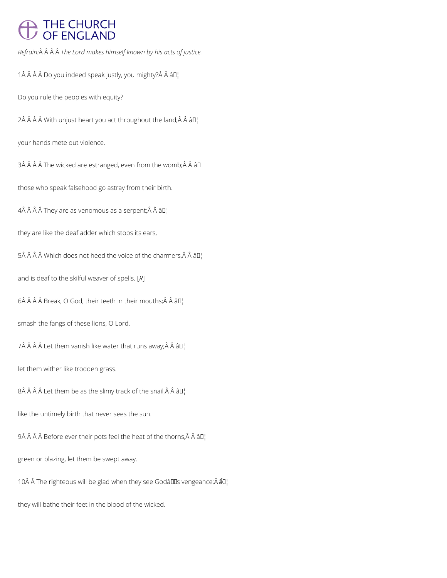# THE CHURCH<br>OF ENGLAND

*Refrain: The Lord makes himself known by his acts of justice.*

1 Do you indeed speak justly, you mighty? Â âD¦

Do you rule the peoples with equity?

 $2\hat{A}$   $\hat{A}$   $\hat{A}$   $\hat{B}$  With unjust heart you act throughout the land;  $\hat{A}$   $\hat{A}$   $\hat{B}$  $\Gamma$ 

your hands mete out violence.

3Â Â Â Â The wicked are estranged, even from the womb; Â Â â  $II'$ 

those who speak falsehood go astray from their birth.

 $4\hat{A}$   $\hat{A}$   $\hat{A}$   $\hat{A}$  They are as venomous as a serpent;  $\hat{A}$   $\hat{A}$   $\hat{a}$   $\Box$ 

they are like the deaf adder which stops its ears,

5Â Â Â Â Which does not heed the voice of the charmers, Â Â â  $\mathbb{I}^1$ 

and is deaf to the skilful weaver of spells. [*R*]

 $6\hat{A}$   $\hat{A}$   $\hat{A}$   $\hat{B}$  reak,  $O$  God, their teeth in their mouths; $\hat{A}$   $\hat{A}$   $\hat{B}$  $\Gamma$ 

smash the fangs of these lions, O Lord.

7Â Â Â Â Let them vanish like water that runs away; Â Â â  $\mathbb{D}_1$ 

let them wither like trodden grass.

 $8\hat{A}$   $\hat{A}$   $\hat{A}$  Let them be as the slimy track of the snail, $\hat{A}$   $\hat{A}$   $\hat{a}$  $\square$ 

like the untimely birth that never sees the sun.

9Â Â Â Â Before ever their pots feel the heat of the thorns, Â Â â  $\mathbb{D}_1^1$ 

green or blazing, let them be swept away.

10Â Â The righteous will be glad when they see Godâll Ds vengeance; Â â Q¦

they will bathe their feet in the blood of the wicked.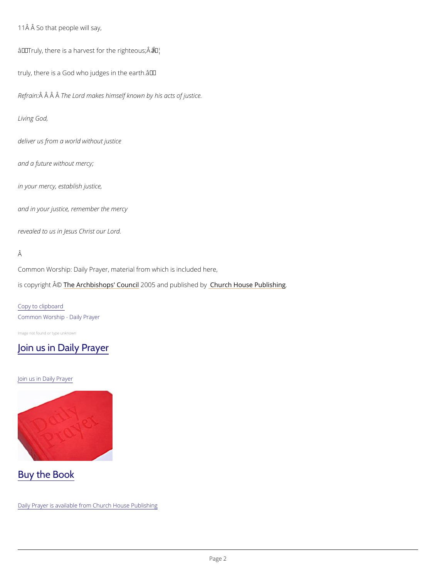11Â Â So that people will say,

 $\hat{a} \in \tilde{a}$  Truly, there is a harvest f $\hat{a}$   $\tilde{b}$  the righteous;  $\hat{A}$   $\hat{A}$ 

truly, there is a God who judges in the earth.  $\hat{a} \in T^M$ 

Refra $\hat{A}$ in $\hat{A}$   $\hat{A}$ Th $\hat{A}$ e Lord makes himself known by his acts of justice.

Common Worship: Daily Prayer, material from which is included here, is copyright  $\hat{\mathbb{A}}$  @Archbishops' 2000 u5 n and publish hend roby House Publishing

Living God,

deliver us from a world without justice

and a future without mercy;

in your mercy, establish justice,

and in your justice, remember the mercy

revealed to us in Jesus Christ our Lord.

#### Â

Copy to clipboard Common Worship - Daily Prayer

Image not found or type unknown

#### [Join us in Daily Prayer](https://www.churchofengland.org/prayer-and-worship/join-us-in-daily-prayer)

Join us in Daily Prayer

### Buy the Book

Daily Prayer is available from Church House Publishing

Pag<sub>2</sub>e